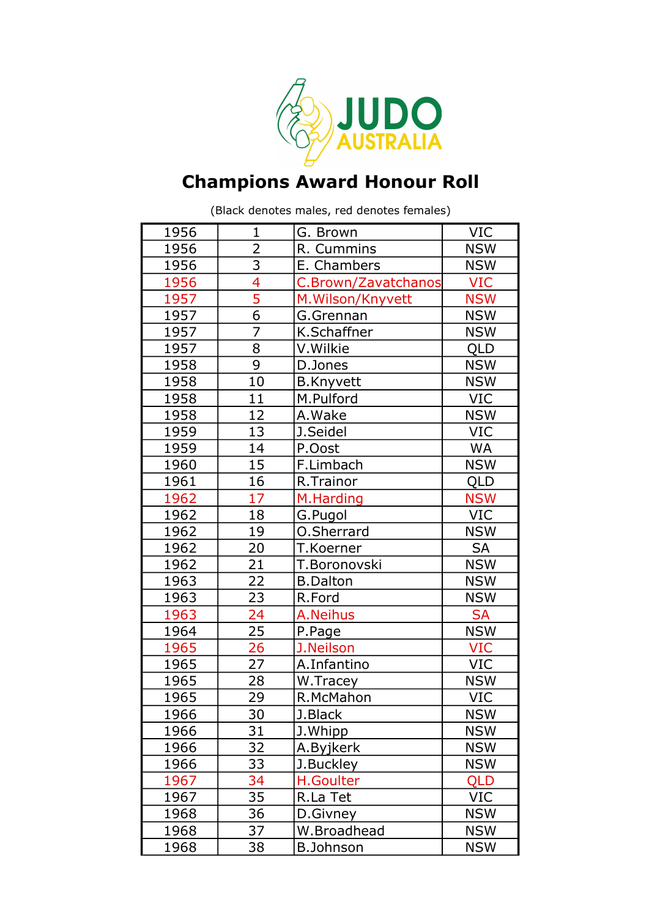

## Champions Award Honour Roll

(Black denotes males, red denotes females)

| 1956 | $\mathbf{1}$   | G. Brown            | <b>VIC</b> |
|------|----------------|---------------------|------------|
| 1956 | $\overline{2}$ | R. Cummins          | <b>NSW</b> |
| 1956 | $\frac{3}{4}$  | E. Chambers         | <b>NSW</b> |
| 1956 |                | C.Brown/Zavatchanos | <b>VIC</b> |
| 1957 | 5              | M. Wilson/Knyvett   | <b>NSW</b> |
| 1957 | $\overline{6}$ | G.Grennan           | <b>NSW</b> |
| 1957 | $\overline{7}$ | K.Schaffner         | <b>NSW</b> |
| 1957 | 8              | V.Wilkie            | QLD        |
| 1958 | 9              | D.Jones             | <b>NSW</b> |
| 1958 | 10             | <b>B.Knyvett</b>    | <b>NSW</b> |
| 1958 | 11             | M.Pulford           | <b>VIC</b> |
| 1958 | 12             | A.Wake              | <b>NSW</b> |
| 1959 | 13             | J.Seidel            | <b>VIC</b> |
| 1959 | 14             | P.Oost              | <b>WA</b>  |
| 1960 | 15             | F.Limbach           | <b>NSW</b> |
| 1961 | 16             | R.Trainor           | QLD        |
| 1962 | 17             | M.Harding           | <b>NSW</b> |
| 1962 | 18             | G.Pugol             | <b>VIC</b> |
| 1962 | 19             | O.Sherrard          | <b>NSW</b> |
| 1962 | 20             | T.Koerner           | <b>SA</b>  |
| 1962 | 21             | T.Boronovski        | <b>NSW</b> |
| 1963 | 22             | <b>B.Dalton</b>     | <b>NSW</b> |
| 1963 | 23             | R.Ford              | <b>NSW</b> |
| 1963 | 24             | A.Neihus            | <b>SA</b>  |
| 1964 | 25             | P.Page              | <b>NSW</b> |
| 1965 | 26             | J.Neilson           | <b>VIC</b> |
| 1965 | 27             | A.Infantino         | <b>VIC</b> |
| 1965 | 28             | W.Tracey            | <b>NSW</b> |
| 1965 | 29             | R.McMahon           | <b>VIC</b> |
| 1966 | 30             | J.Black             | <b>NSW</b> |
| 1966 | 31             | J.Whipp             | <b>NSW</b> |
| 1966 | 32             | A.Byjkerk           | <b>NSW</b> |
| 1966 | 33             | J.Buckley           | <b>NSW</b> |
| 1967 | 34             | <b>H.Goulter</b>    | QLD        |
| 1967 | 35             | R.La Tet            | <b>VIC</b> |
| 1968 | 36             | D.Givney            | <b>NSW</b> |
| 1968 | 37             | W.Broadhead         | <b>NSW</b> |
| 1968 | 38             | <b>B.Johnson</b>    | <b>NSW</b> |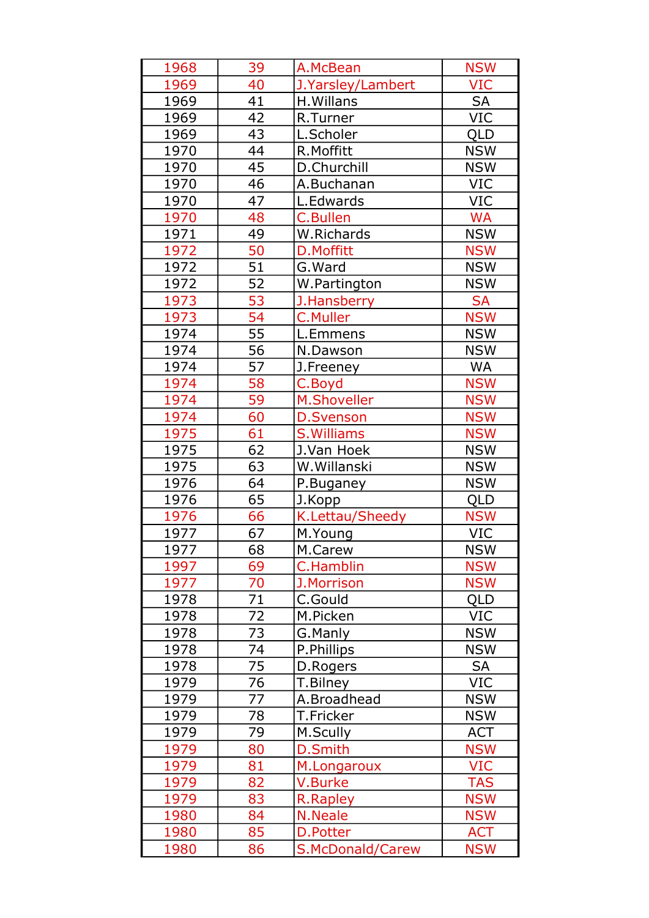| 1968 | 39              | A.McBean           | <b>NSW</b> |
|------|-----------------|--------------------|------------|
| 1969 | 40              | J.Yarsley/Lambert  | <b>VIC</b> |
| 1969 | 41              | H. Willans         | <b>SA</b>  |
| 1969 | 42              | R.Turner           | <b>VIC</b> |
| 1969 | 43              | L.Scholer          | <b>QLD</b> |
| 1970 | 44              | R.Moffitt          | <b>NSW</b> |
| 1970 | 45              | D.Churchill        | <b>NSW</b> |
| 1970 | 46              | A.Buchanan         | <b>VIC</b> |
| 1970 | 47              | L.Edwards          | <b>VIC</b> |
| 1970 | 48              | <b>C.Bullen</b>    | <b>WA</b>  |
| 1971 | 49              | W.Richards         | <b>NSW</b> |
| 1972 | 50              | D.Moffitt          | <b>NSW</b> |
| 1972 | 51              | G.Ward             | <b>NSW</b> |
| 1972 | 52              | W.Partington       | <b>NSW</b> |
| 1973 | 53              | J.Hansberry        | <b>SA</b>  |
| 1973 | 54              | <b>C.Muller</b>    | <b>NSW</b> |
| 1974 | 55              | L.Emmens           | <b>NSW</b> |
| 1974 | 56              | N.Dawson           | <b>NSW</b> |
| 1974 | 57              | J.Freeney          | <b>WA</b>  |
| 1974 | 58              | C.Boyd             | <b>NSW</b> |
| 1974 | 59              | <b>M.Shoveller</b> | <b>NSW</b> |
| 1974 | 60              | <b>D.Svenson</b>   | <b>NSW</b> |
| 1975 | 61              | S. Williams        | <b>NSW</b> |
| 1975 | 62              | J.Van Hoek         | <b>NSW</b> |
| 1975 | 63              | W.Willanski        | <b>NSW</b> |
| 1976 | 64              | P.Buganey          | <b>NSW</b> |
| 1976 | 65              | J.Kopp             | <b>QLD</b> |
| 1976 | 66              | K.Lettau/Sheedy    | <b>NSW</b> |
| 1977 | 67              | M.Young            | <b>VIC</b> |
| 1977 | $\overline{68}$ | M.Carew            | <b>NSW</b> |
| 1997 | 69              | <b>C.Hamblin</b>   | <b>NSW</b> |
| 1977 | 70              | J.Morrison         | <b>NSW</b> |
| 1978 | 71              | C.Gould            | QLD        |
| 1978 | 72              | M.Picken           | <b>VIC</b> |
| 1978 | 73              | G.Manly            | <b>NSW</b> |
| 1978 | 74              | P.Phillips         | <b>NSW</b> |
| 1978 | 75              | D.Rogers           | <b>SA</b>  |
| 1979 | 76              | T.Bilney           | <b>VIC</b> |
| 1979 | 77              | A.Broadhead        | <b>NSW</b> |
| 1979 | 78              | T.Fricker          | <b>NSW</b> |
| 1979 | 79              | M.Scully           | <b>ACT</b> |
| 1979 | 80              | <b>D.Smith</b>     | <b>NSW</b> |
| 1979 | 81              | M.Longaroux        | <b>VIC</b> |
| 1979 | 82              | V.Burke            | <b>TAS</b> |
| 1979 | 83              | R.Rapley           | <b>NSW</b> |
| 1980 | 84              | N.Neale            | <b>NSW</b> |
| 1980 | 85              | D.Potter           | <b>ACT</b> |
| 1980 | 86              | S.McDonald/Carew   | <b>NSW</b> |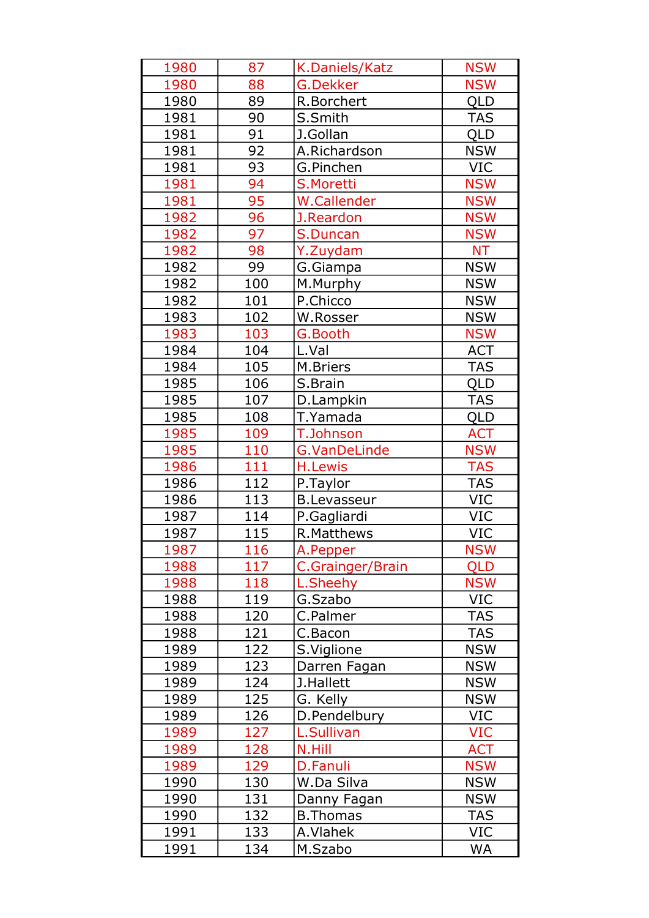| 1980 | 87  | K.Daniels/Katz      | <b>NSW</b> |
|------|-----|---------------------|------------|
| 1980 | 88  | <b>G.Dekker</b>     | <b>NSW</b> |
| 1980 | 89  | R.Borchert          | QLD        |
| 1981 | 90  | S.Smith             | <b>TAS</b> |
| 1981 | 91  | J.Gollan            | <b>QLD</b> |
| 1981 | 92  | A.Richardson        | <b>NSW</b> |
| 1981 | 93  | G.Pinchen           | <b>VIC</b> |
| 1981 | 94  | S.Moretti           | <b>NSW</b> |
| 1981 | 95  | W.Callender         | <b>NSW</b> |
| 1982 | 96  | J.Reardon           | <b>NSW</b> |
| 1982 | 97  | S.Duncan            | <b>NSW</b> |
| 1982 | 98  | Y.Zuydam            | <b>NT</b>  |
| 1982 | 99  | G.Giampa            | <b>NSW</b> |
| 1982 | 100 | M.Murphy            | <b>NSW</b> |
| 1982 | 101 | P.Chicco            | <b>NSW</b> |
| 1983 | 102 | W.Rosser            | <b>NSW</b> |
| 1983 | 103 | G.Booth             | <b>NSW</b> |
| 1984 | 104 | L.Val               | <b>ACT</b> |
| 1984 | 105 | M.Briers            | <b>TAS</b> |
| 1985 | 106 | S.Brain             | <b>QLD</b> |
| 1985 | 107 | D.Lampkin           | <b>TAS</b> |
| 1985 | 108 | T.Yamada            | QLD        |
| 1985 | 109 | <b>T.Johnson</b>    | <b>ACT</b> |
| 1985 | 110 | <b>G.VanDeLinde</b> | <b>NSW</b> |
| 1986 | 111 | <b>H.Lewis</b>      | <b>TAS</b> |
| 1986 | 112 | P.Taylor            | <b>TAS</b> |
| 1986 | 113 | <b>B.Levasseur</b>  | <b>VIC</b> |
| 1987 | 114 | P.Gagliardi         | <b>VIC</b> |
| 1987 | 115 | <b>R.Matthews</b>   | VIC        |
| 1987 | 116 | A.Pepper            | <b>NSW</b> |
| 1988 | 117 | C.Grainger/Brain    | <b>QLD</b> |
| 1988 | 118 | L.Sheehy            | <b>NSW</b> |
| 1988 | 119 | G.Szabo             | <b>VIC</b> |
| 1988 | 120 | C.Palmer            | <b>TAS</b> |
| 1988 | 121 | C.Bacon             | <b>TAS</b> |
| 1989 | 122 | S.Viglione          | <b>NSW</b> |
| 1989 | 123 | Darren Fagan        | <b>NSW</b> |
| 1989 | 124 | J.Hallett           | <b>NSW</b> |
| 1989 | 125 | G. Kelly            | <b>NSW</b> |
| 1989 | 126 | D.Pendelbury        | <b>VIC</b> |
| 1989 | 127 | L.Sullivan          | <b>VIC</b> |
| 1989 | 128 | N.Hill              | <b>ACT</b> |
| 1989 | 129 | D.Fanuli            | <b>NSW</b> |
| 1990 | 130 | W.Da Silva          | <b>NSW</b> |
| 1990 | 131 | Danny Fagan         | <b>NSW</b> |
| 1990 | 132 | <b>B.Thomas</b>     | <b>TAS</b> |
| 1991 | 133 | A.Vlahek            | VIC        |
| 1991 | 134 | M.Szabo             | <b>WA</b>  |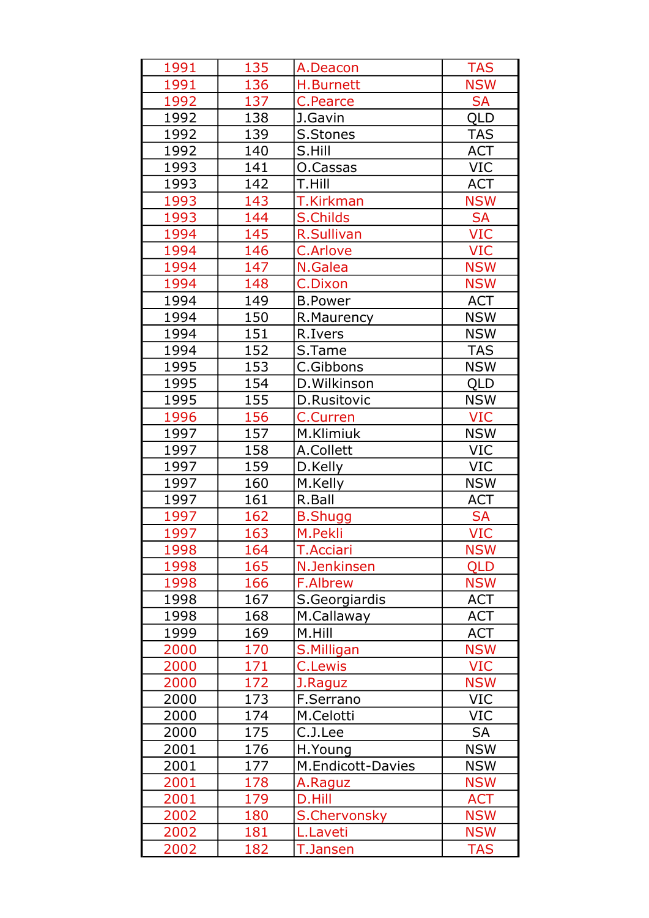| 1991 | 135 | A.Deacon          | <b>TAS</b> |
|------|-----|-------------------|------------|
| 1991 | 136 | H.Burnett         | <b>NSW</b> |
| 1992 | 137 | C.Pearce          | <b>SA</b>  |
| 1992 | 138 | J.Gavin           | QLD        |
| 1992 | 139 | S.Stones          | <b>TAS</b> |
| 1992 | 140 | S.Hill            | <b>ACT</b> |
| 1993 | 141 | O.Cassas          | <b>VIC</b> |
| 1993 | 142 | T.Hill            | <b>ACT</b> |
| 1993 | 143 | <b>T.Kirkman</b>  | <b>NSW</b> |
| 1993 | 144 | <b>S.Childs</b>   | <b>SA</b>  |
| 1994 | 145 | <b>R.Sullivan</b> | VIC        |
| 1994 | 146 | C.Arlove          | <b>VIC</b> |
| 1994 | 147 | N.Galea           | <b>NSW</b> |
| 1994 | 148 | <b>C.Dixon</b>    | <b>NSW</b> |
| 1994 | 149 | <b>B.Power</b>    | <b>ACT</b> |
| 1994 | 150 | R.Maurency        | <b>NSW</b> |
| 1994 | 151 | R.Ivers           | <b>NSW</b> |
| 1994 | 152 | S.Tame            | <b>TAS</b> |
| 1995 | 153 | C.Gibbons         | <b>NSW</b> |
| 1995 | 154 | D. Wilkinson      | <b>QLD</b> |
| 1995 | 155 | D.Rusitovic       | <b>NSW</b> |
| 1996 | 156 | <b>C.Curren</b>   | <b>VIC</b> |
| 1997 | 157 | M.Klimiuk         | <b>NSW</b> |
| 1997 | 158 | A.Collett         | <b>VIC</b> |
| 1997 | 159 | D.Kelly           | <b>VIC</b> |
| 1997 | 160 | M.Kelly           | <b>NSW</b> |
| 1997 | 161 | R.Ball            | <b>ACT</b> |
| 1997 | 162 | <b>B.Shugg</b>    | <b>SA</b>  |
| 1997 | 163 | M.Pekli           | <b>VIC</b> |
| 1998 | 164 | T.Acciari         | <b>NSW</b> |
| 1998 | 165 | N.Jenkinsen       | <b>QLD</b> |
| 1998 | 166 | <b>F.Albrew</b>   | <b>NSW</b> |
| 1998 | 167 | S.Georgiardis     | <b>ACT</b> |
| 1998 | 168 | M.Callaway        | <b>ACT</b> |
| 1999 | 169 | M.Hill            | <b>ACT</b> |
| 2000 | 170 | S.Milligan        | <b>NSW</b> |
| 2000 | 171 | <b>C.Lewis</b>    | <b>VIC</b> |
| 2000 | 172 | J.Raguz           | <b>NSW</b> |
| 2000 | 173 | F.Serrano         | <b>VIC</b> |
| 2000 | 174 | M.Celotti         | <b>VIC</b> |
| 2000 | 175 | C.J.Lee           | <b>SA</b>  |
| 2001 | 176 | H.Young           | <b>NSW</b> |
| 2001 | 177 | M.Endicott-Davies | <b>NSW</b> |
| 2001 | 178 | A.Raguz           | <b>NSW</b> |
| 2001 | 179 | D.Hill            | <b>ACT</b> |
| 2002 | 180 | S.Chervonsky      | <b>NSW</b> |
| 2002 | 181 | L.Laveti          | <b>NSW</b> |
| 2002 | 182 | <b>T.Jansen</b>   | <b>TAS</b> |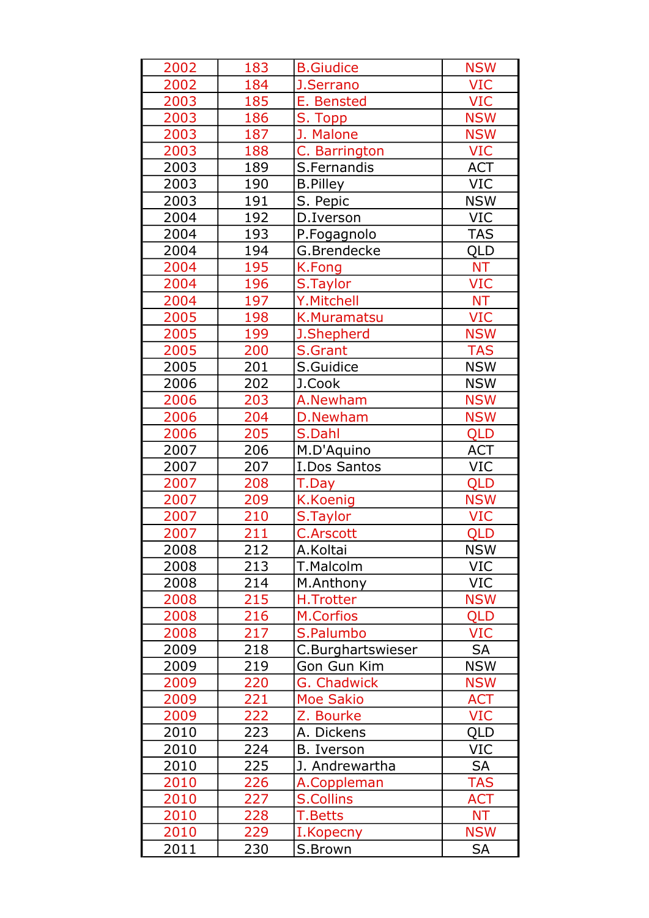| 2002 | 183 | <b>B.Giudice</b>   | <b>NSW</b> |
|------|-----|--------------------|------------|
| 2002 | 184 | J.Serrano          | <b>VIC</b> |
| 2003 | 185 | E. Bensted         | <b>VIC</b> |
| 2003 | 186 | S. Topp            | <b>NSW</b> |
| 2003 | 187 | J. Malone          | <b>NSW</b> |
| 2003 | 188 | C. Barrington      | <b>VIC</b> |
| 2003 | 189 | S.Fernandis        | <b>ACT</b> |
| 2003 | 190 | <b>B.Pilley</b>    | VIC        |
| 2003 | 191 | S. Pepic           | <b>NSW</b> |
| 2004 | 192 | D.Iverson          | <b>VIC</b> |
| 2004 | 193 | P.Fogagnolo        | <b>TAS</b> |
| 2004 | 194 | G.Brendecke        | QLD        |
| 2004 | 195 | K.Fong             | <b>NT</b>  |
| 2004 | 196 | S.Taylor           | <b>VIC</b> |
| 2004 | 197 | Y.Mitchell         | <b>NT</b>  |
| 2005 | 198 | K.Muramatsu        | <b>VIC</b> |
| 2005 | 199 | J.Shepherd         | <b>NSW</b> |
| 2005 | 200 | S.Grant            | <b>TAS</b> |
| 2005 | 201 | S.Guidice          | <b>NSW</b> |
| 2006 | 202 | J.Cook             | <b>NSW</b> |
| 2006 | 203 | A.Newham           | <b>NSW</b> |
| 2006 | 204 | D.Newham           | <b>NSW</b> |
| 2006 | 205 | S.Dahl             | <b>QLD</b> |
| 2007 | 206 | M.D'Aquino         | <b>ACT</b> |
| 2007 | 207 | I.Dos Santos       | VIC        |
| 2007 | 208 | T.Day              | QLD        |
| 2007 | 209 | K.Koenig           | <b>NSW</b> |
| 2007 | 210 | S.Taylor           | <b>VIC</b> |
| 2007 | 211 | <b>C.Arscott</b>   | <b>QLD</b> |
| 2008 | 212 | A.Koltai           | <b>NSW</b> |
| 2008 | 213 | T.Malcolm          | VIC        |
| 2008 | 214 | M.Anthony          | <b>VIC</b> |
| 2008 | 215 | H.Trotter          | <b>NSW</b> |
| 2008 | 216 | M.Corfios          | <b>QLD</b> |
| 2008 | 217 | S.Palumbo          | <b>VIC</b> |
| 2009 | 218 | C.Burghartswieser  | <b>SA</b>  |
| 2009 | 219 | Gon Gun Kim        | <b>NSW</b> |
| 2009 | 220 | <b>G. Chadwick</b> | <b>NSW</b> |
| 2009 | 221 | <b>Moe Sakio</b>   | <b>ACT</b> |
| 2009 | 222 | Z. Bourke          | <b>VIC</b> |
| 2010 | 223 | A. Dickens         | QLD        |
| 2010 | 224 | B. Iverson         | VIC        |
| 2010 | 225 | J. Andrewartha     | <b>SA</b>  |
| 2010 | 226 | A.Coppleman        | <b>TAS</b> |
| 2010 | 227 | <b>S.Collins</b>   | <b>ACT</b> |
| 2010 | 228 | T.Betts            | <b>NT</b>  |
| 2010 | 229 | I.Kopecny          | <b>NSW</b> |
| 2011 | 230 | S.Brown            | <b>SA</b>  |